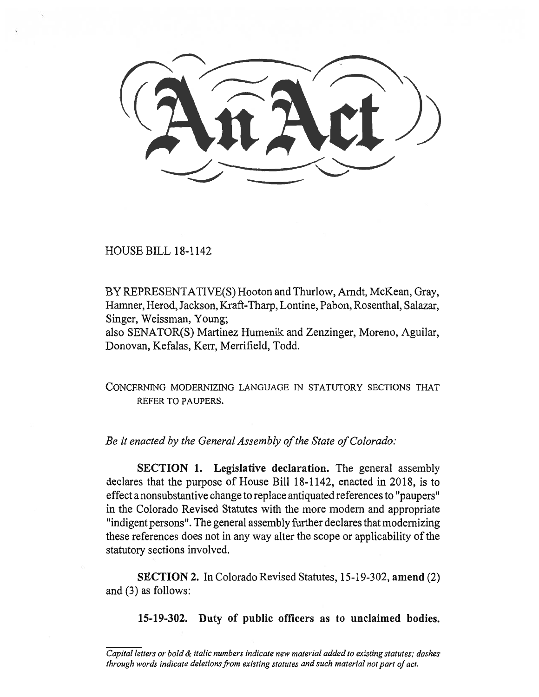HOUSE BILL 18-1142

BY REPRESENTATIVE(S) Hooton and Thurlow, Arndt, McKean, Gray, Hamner, Herod, Jackson, Kraft-Tharp, Lontine, Pabon, Rosenthal, Salazar, Singer, Weissman, Young;

also SENATOR(S) Martinez Humenik and Zenzinger, Moreno, Aguilar, Donovan, Kefalas, Kerr, Merrifield, Todd.

CONCERNING MODERNIZING LANGUAGE IN STATUTORY SECTIONS THAT REFER TO PAUPERS.

*Be it enacted by the General Assembly of the State of Colorado:* 

**SECTION 1. Legislative declaration.** The general assembly declares that the purpose of House Bill 18-1142, enacted in 2018, is to effect a nonsubstantive change to replace antiquated references to "paupers" in the Colorado Revised Statutes with the more modem and appropriate "indigent persons". The general assembly further declares that modernizing these references does not in any way alter the scope or applicability of the statutory sections involved.

**SECTION 2.** In Colorado Revised Statutes, 15-19-302, **amend** (2) and (3) as follows:

**15-19-302. Duty of public officers as to unclaimed bodies.** 

*Capital letters or bold & italic numbers indicate new material added to existing statutes; dashes through words indicate deletions from existing statutes and such material not part of act.*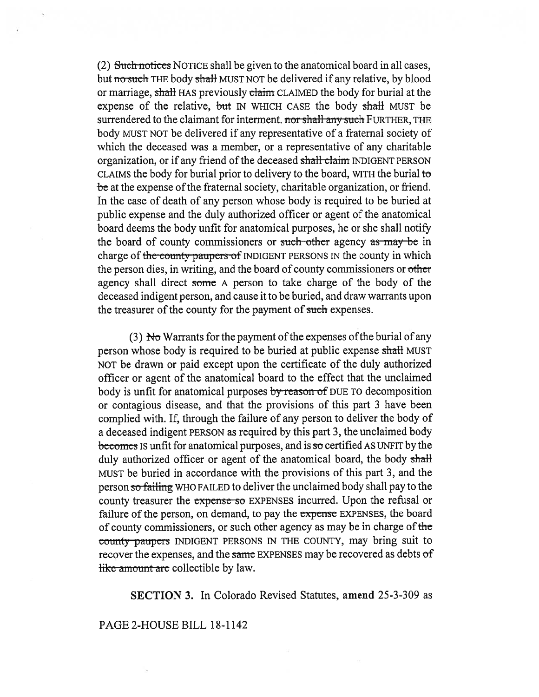(2)  $Suchmotics$  NOTICE shall be given to the anatomical board in all cases, but no such THE body shall MUST NOT be delivered if any relative, by blood or marriage, shall HAS previously claim CLAIMED the body for burial at the expense of the relative, but IN WHICH CASE the body shall MUST be surrendered to the claimant for interment. nor shall any such FURTHER, THE body MUST NOT be delivered if any representative of a fraternal society of which the deceased was a member, or a representative of any charitable organization, or if any friend of the deceased shall claim INDIGENT PERSON CLAIMS the body for burial prior to delivery to the board, WITH the burial to be at the expense of the fraternal society, charitable organization, or friend. In the case of death of any person whose body is required to be buried at public expense and the duly authorized officer or agent of the anatomical board deems the body unfit for anatomical purposes, he or she shall notify the board of county commissioners or such other agency as may be in charge of the county paupers of INDIGENT PERSONS IN the county in which the person dies, in writing, and the board of county commissioners or other agency shall direct some A person to take charge of the body of the deceased indigent person, and cause it to be buried, and draw warrants upon the treasurer of the county for the payment of such expenses.

(3) No Warrants for the payment of the expenses of the burial of any person whose body is required to be buried at public expense shall MUST NOT be drawn or paid except upon the certificate of the duly authorized officer or agent of the anatomical board to the effect that the unclaimed body is unfit for anatomical purposes by reason of DUE TO decomposition or contagious disease, and that the provisions of this part 3 have been complied with. If, through the failure of any person to deliver the body of a deceased indigent PERSON as required by this part 3, the unclaimed body becomes IS unfit for anatomical purposes, and is so certified AS UNFIT by the duly authorized officer or agent of the anatomical board, the body shall MUST be buried in accordance with the provisions of this part 3, and the person so failing WHO FAILED to deliver the unclaimed body shall pay to the county treasurer the expense so EXPENSES incurred. Upon the refusal or failure of the person, on demand, to pay the expense EXPENSES, the board of county commissioners, or such other agency as may be in charge of the tounty paupers INDIGENT PERSONS IN THE COUNTY, may bring suit to recover the expenses, and the same EXPENSES may be recovered as debts of like amount are collectible by law.

SECTION 3. In Colorado Revised Statutes, amend 25-3-309 as

## PAGE 2-HOUSE BILL 18-1142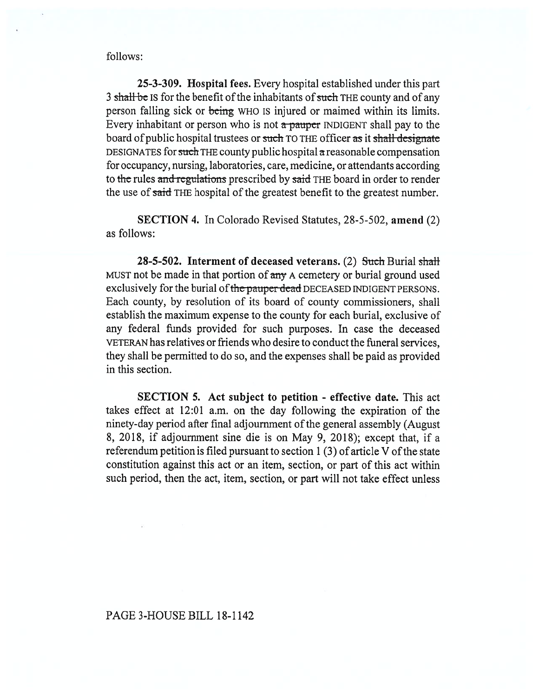follows:

25-3-309. Hospital fees. Every hospital established under this part 3 shall be IS for the benefit of the inhabitants of such THE county and of any person falling sick or being WHO IS injured or maimed within its limits. Every inhabitant or person who is not  $\alpha$  pauper INDIGENT shall pay to the board of public hospital trustees or such TO THE officer as it shall designate DESIGNATES for such THE county public hospital a reasonable compensation for occupancy, nursing, laboratories, care, medicine, or attendants according to the rules and regulations prescribed by said THE board in order to render the use of said THE hospital of the greatest benefit to the greatest number.

**SECTION 4.** In Colorado Revised Statutes, 28-5-502, **amend** (2) as follows:

28-5-502. Interment of deceased veterans. (2) Such Burial shall MUST not be made in that portion of any A cemetery or burial ground used exclusively for the burial of the pauper dead DECEASED INDIGENT PERSONS. Each county, by resolution of its board of county commissioners, shall establish the maximum expense to the county for each burial, exclusive of any federal funds provided for such purposes. In case the deceased VETERAN has relatives or friends who desire to conduct the funeral services, they shall be permitted to do so, and the expenses shall be paid as provided in this section.

**SECTION 5. Act subject to petition - effective date.** This act takes effect at 12:01 a.m. on the day following the expiration of the ninety-day period after final adjournment of the general assembly (August 8, 2018, if adjournment sine die is on May 9, 2018); except that, if a referendum petition is filed pursuant to section 1 (3) of article V of the state constitution against this act or an item, section, or part of this act within such period, then the act, item, section, or part will not take effect unless

## PAGE 3-HOUSE BILL 18-1142